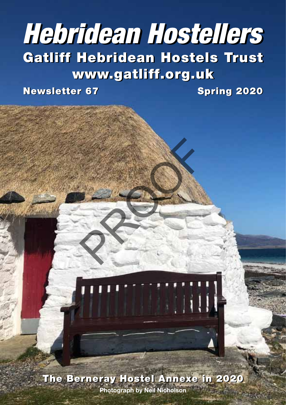# Gatliff Hebridean Hostels Trust Gatliff Hebridean Hostels Trust www.gatliff.org.uk www.gatliff.org.uk *Hebridean Hostellers Hebridean Hostellers*

PROOF

Newsletter 67 Spring 2020 Newsletter 67 Spring 2020

The Berneray Hostel Annexe in 2020 The Berneray Hostel Annexe in 2020

**Photograph by Neil Nicholson**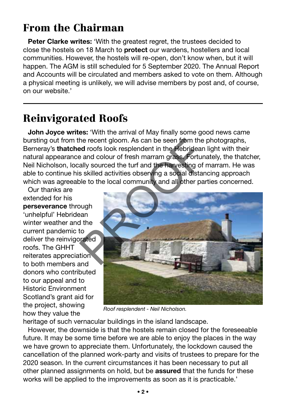# From the Chairman

**Peter Clarke writes:** 'With the greatest regret, the trustees decided to close the hostels on 18 March to **protect** our wardens, hostellers and local communities. However, the hostels will re-open, don't know when, but it will happen. The AGM is still scheduled for 5 September 2020. The Annual Report and Accounts will be circulated and members asked to vote on them. Although a physical meeting is unlikely, we will advise members by post and, of course, on our website.'

### Reinvigorated Roofs

**John Joyce writes:** 'With the arrival of May finally some good news came bursting out from the recent gloom. As can be seen from the photographs, Berneray's **thatched** roofs look resplendent in the Hebridean light with their natural appearance and colour of fresh marram grass. Fortunately, the thatcher, Neil Nicholson, locally sourced the turf and the harvesting of marram. He was able to continue his skilled activities observing a social distancing approach which was agreeable to the local community and all other parties concerned.

Our thanks are extended for his **perseverance** through 'unhelpful' Hebridean winter weather and the current pandemic to deliver the reinvigorated roofs. The GHHT reiterates appreciation to both members and donors who contributed to our appeal and to Historic Environment Scotland's grant aid for the project, showing how they value the



*Roof resplendent - Neil Nicholson.*

heritage of such vernacular buildings in the island landscape.

However, the downside is that the hostels remain closed for the foreseeable future. It may be some time before we are able to enjoy the places in the way we have grown to appreciate them. Unfortunately, the lockdown caused the cancellation of the planned work-party and visits of trustees to prepare for the 2020 season. In the current circumstances it has been necessary to put all other planned assignments on hold, but be **assured** that the funds for these works will be applied to the improvements as soon as it is practicable.'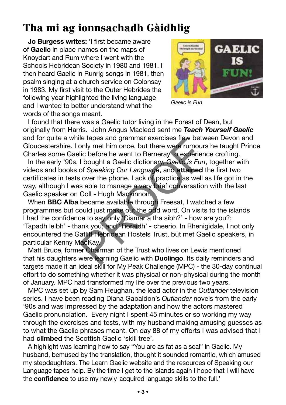# Tha mi ag ionnsachadh Gàidhlig

**Jo Burgess writes:** 'I first became aware of **Gaelic** in place-names on the maps of Knoydart and Rum where I went with the Schools Hebridean Society in 1980 and 1981. I then heard Gaelic in Runrig songs in 1981, then psalm singing at a church service on Colonsay in 1983. My first visit to the Outer Hebrides the following year highlighted the living language and I wanted to better understand what the words of the songs meant.



*Gaelic is Fun*

I found that there was a Gaelic tutor living in the Forest of Dean, but originally from Harris. John Angus Macleod sent me *Teach Yourself Gaelic* and for quite a while tapes and grammar exercises flew between Devon and Gloucestershire. I only met him once, but there were rumours he taught Prince Charles some Gaelic before he went to Berneray to experience crofting.

In the early '90s, I bought a Gaelic dictionary, *Gaelic is Fun*, together with videos and books of *Speaking Our Language*, and **attained** the first two certificates in tests over the phone. Lack of practice as well as life got in the way, although I was able to manage a very brief conversation with the last Gaelic speaker on Coll - Hugh Mackinnon.

When **BBC Alba** became available through Freesat, I watched a few programmes but could just make out the odd word. On visits to the islands I had the confidence to say only 'Ciamar a tha sibh?' - how are you?; 'Tapadh leibh' - thank you; and 'Tioraidh' - cheerio. In Rhenigidale, I not only encountered the Gatliff Hebridean Hostels Trust, but met Gaelic speakers, in particular Kenny MacKay. The tapes and grammar exercises new betwood the tapes and grammar exercises new betwood the solution of Speaking Our Language, and **attained** is over the phone. Lack of practice as well as able to manage a very brief conve

Matt Bruce, former Chairman of the Trust who lives on Lewis mentioned that his daughters were learning Gaelic with **Duolingo**. Its daily reminders and targets made it an ideal skill for My Peak Challenge (MPC) - the 30-day continual effort to do something whether it was physical or non-physical during the month of January. MPC had transformed my life over the previous two years.

MPC was set up by Sam Heughan, the lead actor in the *Outlander* television series. I have been reading Diana Gabaldon's *Outlander* novels from the early '90s and was impressed by the adaptation and how the actors mastered Gaelic pronunciation. Every night I spent 45 minutes or so working my way through the exercises and tests, with my husband making amusing guesses as to what the Gaelic phrases meant. On day 88 of my efforts I was advised that I had **climbed** the Scottish Gaelic 'skill tree'.

A highlight was learning how to say "You are as fat as a seal" in Gaelic. My husband, bemused by the translation, thought it sounded romantic, which amused my stepdaughters. The Learn Gaelic website and the resources of Speaking our Language tapes help. By the time I get to the islands again I hope that I will have the **confidence** to use my newly-acquired language skills to the full.'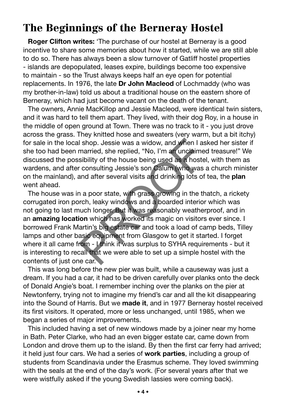### The Beginnings of the Berneray Hostel

**Roger Clifton writes:** 'The purchase of our hostel at Berneray is a good incentive to share some memories about how it started, while we are still able to do so. There has always been a slow turnover of Gatliff hostel properties - islands are depopulated, leases expire, buildings become too expensive to maintain - so the Trust always keeps half an eye open for potential replacements. In 1976, the late **Dr John Macleod** of Lochmaddy (who was my brother-in-law) told us about a traditional house on the eastern shore of Berneray, which had just become vacant on the death of the tenant.

The owners, Annie MacKillop and Jessie Macleod, were identical twin sisters, and it was hard to tell them apart. They lived, with their dog Roy, in a house in the middle of open ground at Town. There was no track to it - you just drove across the grass. They knitted hose and sweaters (very warm, but a bit itchy) for sale in the local shop. Jessie was a widow, and when I asked her sister if she too had been married, she replied, "No, I'm an unclaimed treasure!" We discussed the possibility of the house being used as a hostel, with them as wardens, and after consulting Jessie's son Calum (who was a church minister on the mainland), and after several visits and drinking lots of tea, the **plan** went ahead.

The house was in a poor state, with grass growing in the thatch, a rickety corrugated iron porch, leaky windows and a boarded interior which was not going to last much longer. But it was reasonably weatherproof, and in an **amazing location** which has worked its magic on visitors ever since. I borrowed Frank Martin's big estate car and took a load of camp beds, Tilley lamps and other basic equipment from Glasgow to get it started. I forget where it all came from - I think it was surplus to SYHA requirements - but it is interesting to recall that we were able to set up a simple hostel with the contents of just one car. I shop. Jessie was a widow, and when I as<br>married, she replied, "No, I'm an unclaimed<br>sibility of the house being used as a hostel<br>consulting Jessie's son Calum (who was a<br>and after several visits and drinking lots of<br>i a

This was long before the new pier was built, while a causeway was just a dream. If you had a car, it had to be driven carefully over planks onto the deck of Donald Angie's boat. I remember inching over the planks on the pier at Newtonferry, trying not to imagine my friend's car and all the kit disappearing into the Sound of Harris. But we **made it**, and in 1977 Berneray hostel received its first visitors. It operated, more or less unchanged, until 1985, when we began a series of major improvements.

This included having a set of new windows made by a joiner near my home in Bath. Peter Clarke, who had an even bigger estate car, came down from London and drove them up to the island. By then the first car ferry had arrived; it held just four cars. We had a series of **work parties**, including a group of students from Scandinavia under the Erasmus scheme. They loved swimming with the seals at the end of the day's work. (For several years after that we were wistfully asked if the young Swedish lassies were coming back).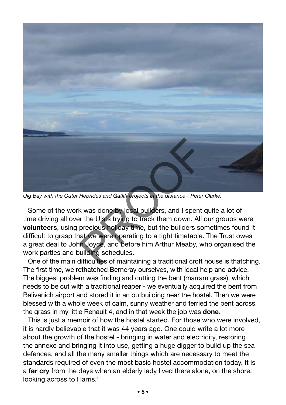

*Uig Bay with the Outer Hebrides and Gatliff projects in the distance - Peter Clarke.*

Some of the work was done by local builders, and I spent quite a lot of time driving all over the Uists trying to track them down. All our groups were **volunteers**, using precious holiday time, but the builders sometimes found it difficult to grasp that we were operating to a tight timetable. The Trust owes a great deal to John Joyce, and before him Arthur Meaby, who organised the work parties and building schedules.

One of the main difficulties of maintaining a traditional croft house is thatching. The first time, we rethatched Berneray ourselves, with local help and advice. The biggest problem was finding and cutting the bent (marram grass), which needs to be cut with a traditional reaper - we eventually acquired the bent from Balivanich airport and stored it in an outbuilding near the hostel. Then we were blessed with a whole week of calm, sunny weather and ferried the bent across the grass in my little Renault 4, and in that week the job was **done**.

This is just a memoir of how the hostel started. For those who were involved, it is hardly believable that it was 44 years ago. One could write a lot more about the growth of the hostel - bringing in water and electricity, restoring the annexe and bringing it into use, getting a huge digger to build up the sea defences, and all the many smaller things which are necessary to meet the standards required of even the most basic hostel accommodation today. It is a **far cry** from the days when an elderly lady lived there alone, on the shore, looking across to Harris.'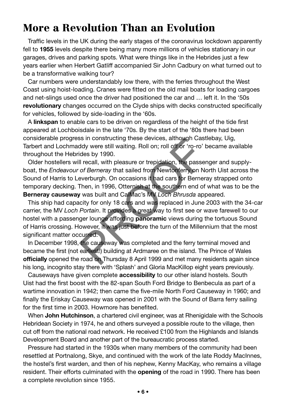### More a Revolution Than an Evolution

Traffic levels in the UK during the early stages of the coronavirus lockdown apparently fell to **1955** levels despite there being many more millions of vehicles stationary in our garages, drives and parking spots. What were things like in the Hebrides just a few years earlier when Herbert Gatliff accompanied Sir John Cadbury on what turned out to be a transformative walking tour?

Car numbers were understandably low there, with the ferries throughout the West Coast using hoist-loading. Cranes were fitted on the old mail boats for loading cargoes and net-slings used once the driver had positioned the car and … left it. In the '50s **revolutionary** changes occurred on the Clyde ships with decks constructed specifically for vehicles, followed by side-loading in the '60s.

A **linkspan** to enable cars to be driven on regardless of the height of the tide first appeared at Lochboisdale in the late '70s. By the start of the '80s there had been considerable progress in constructing these devices, although Castlebay, Uig, Tarbert and Lochmaddy were still waiting. Roll on; roll off or 'ro-ro' became available throughout the Hebrides by 1990.

Older hostellers will recall, with pleasure or trepidation, the passenger and supplyboat, the *Endeavour of Berneray* that sailed from Newtonferry on North Uist across the Sound of Harris to Leverburgh. On occasions it had cars for Berneray strapped onto temporary decking. Then, in 1996, Otternish at the southern end of what was to be the **Berneray causeway** was built and CalMac's MV *Loch Bhrusda* appeared.

This ship had capacity for only 18 cars and was replaced in June 2003 with the 34-car carrier, the MV *Loch Portain*. It provides a great way to first see or wave farewell to our hostel with a passenger lounge affording **panoramic** views during the tortuous Sound of Harris crossing. However, it was just before the turn of the Millennium that the most significant matter occurred. Solution of the state of the state of the state of the state of the readily were still waiting. Roll on; roll off or 'ro-ro' ides by 1990.<br>Il recall, with pleasure or trepidation, the passer of Berneray that sailed from Ne

In December 1998, the causeway was completed and the ferry terminal moved and became the first (not earliest!) building at Ardmaree on the island. The Prince of Wales **officially** opened the road on Thursday 8 April 1999 and met many residents again since his long, incognito stay there with 'Splash' and Gloria MacKillop eight years previously.

Causeways have given complete **accessibility** to our other island hostels. South Uist had the first boost with the 82-span South Ford Bridge to Benbecula as part of a wartime innovation in 1942; then came the five-mile North Ford Causeway in 1960; and finally the Eriskay Causeway was opened in 2001 with the Sound of Barra ferry sailing for the first time in 2003. Howmore has benefited.

When **John Hutchinson**, a chartered civil engineer, was at Rhenigidale with the Schools Hebridean Society in 1974, he and others surveyed a possible route to the village, then cut off from the national road network. He received £100 from the Highlands and Islands Development Board and another part of the bureaucratic process started.

Pressure had started in the 1930s when many members of the community had been resettled at Portnalong, Skye, and continued with the work of the late Roddy MacInnes, the hostel's first warden, and then of his nephew, Kenny MacKay, who remains a village resident. Their efforts culminated with the **opening** of the road in 1990. There has been a complete revolution since 1955.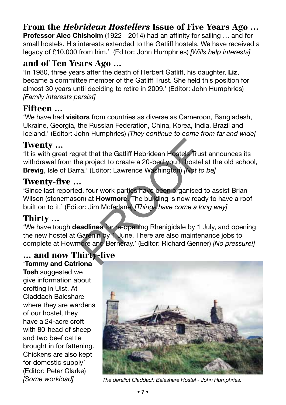### From the *Hebridean Hostellers* Issue of Five Years Ago …

**Professor Alec Chisholm** (1922 - 2014) had an affinity for sailing … and for small hostels. His interests extended to the Gatliff hostels. We have received a legacy of £10,000 from him.' (Editor: John Humphries) *[Wills help interests]*

#### and of Ten Years Ago …

'In 1980, three years after the death of Herbert Gatliff, his daughter, **Liz**, became a committee member of the Gatliff Trust. She held this position for almost 30 years until deciding to retire in 2009.' (Editor: John Humphries) *[Family interests persist]*

#### Fifteen …

'We have had **visitors** from countries as diverse as Cameroon, Bangladesh, Ukraine, Georgia, the Russian Federation, China, Korea, India, Brazil and Iceland.' (Editor: John Humphries) *[They continue to come from far and wide]*

#### Twenty …

'It is with great regret that the Gatliff Hebridean Hostels Trust announces its withdrawal from the project to create a 20-bed youth hostel at the old school, **Brevig**, Isle of Barra.' (Editor: Lawrence Washington) *[Not to be]* ret that the Gatliff Hebridean Hostels Trust<br>e project to create a 20-bed youth hostel a<br>ra.' (Editor: Lawrence Washington) *[Not to*<br>.<br>d, four work parties have been organised t<br>on) at **Howmore**. The building is now ready

#### Twenty-five …

'Since last reported, four work parties have been organised to assist Brian Wilson (stonemason) at **Howmore**. The building is now ready to have a roof built on to it.' (Editor: Jim Mcfarlane) *[Things have come a long way]*

#### Thirty …

'We have tough **deadlines** for re-opening Rhenigidale by 1 July, and opening the new hostel at Garenin by 1 June. There are also maintenance jobs to complete at Howmore and Berneray.' (Editor: Richard Genner) *[No pressure!]*

#### … and now Thirty-five

'**Tommy and Catriona Tosh** suggested we give information about crofting in Uist. At Claddach Baleshare where they are wardens of our hostel, they have a 24-acre croft with 80-head of sheep and two beef cattle brought in for fattening. Chickens are also kept for domestic supply' (Editor: Peter Clarke)



*[Some workload] The derelict Claddach Baleshare Hostel - John Humphries.*